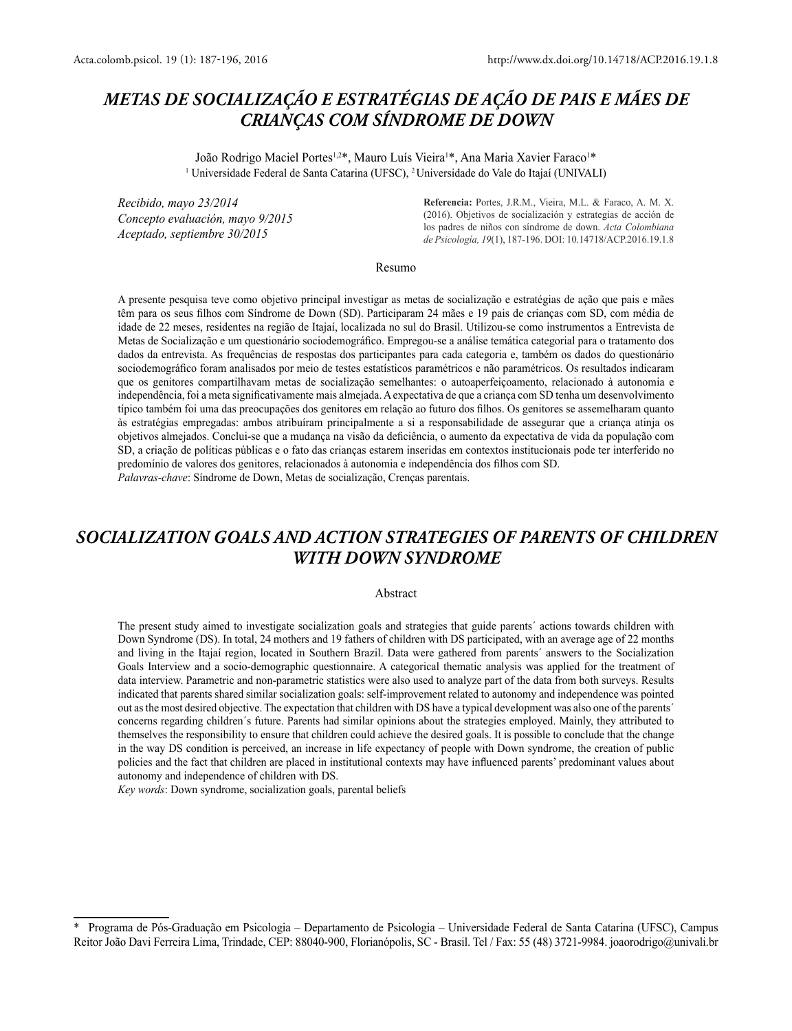# *METAS DE SOCIALIZAÇÃO E ESTRATÉGIAS DE AÇÃO DE PAIS E MÃES DE CRIANÇAS COM SÍNDROME DE DOWN*

João Rodrigo Maciel Portes<sup>1,2\*</sup>, Mauro Luís Vieira<sup>1\*</sup>, Ana Maria Xavier Faraco<sup>1\*</sup> 1 Universidade Federal de Santa Catarina (UFSC), <sup>2</sup>Universidade do Vale do Itajaí (UNIVALI)

*Recibido, mayo 23/2014 Concepto evaluación, mayo 9/2015 Aceptado, septiembre 30/2015*

**Referencia:** Portes, J.R.M., Vieira, M.L. & Faraco, A. M. X. (2016). Objetivos de socialización y estrategias de acción de los padres de niños con síndrome de down. *Acta Colombiana de Psicología, 19*(1), 187-196. DOI: 10.14718/ACP.2016.19.1.8

#### Resumo

A presente pesquisa teve como objetivo principal investigar as metas de socialização e estratégias de ação que pais e mães têm para os seus filhos com Síndrome de Down (SD). Participaram 24 mães e 19 pais de crianças com SD, com média de idade de 22 meses, residentes na região de Itajaí, localizada no sul do Brasil. Utilizou-se como instrumentos a Entrevista de Metas de Socialização e um questionário sociodemográfico. Empregou-se a análise temática categorial para o tratamento dos dados da entrevista. As frequências de respostas dos participantes para cada categoria e, também os dados do questionário sociodemográfico foram analisados por meio de testes estatísticos paramétricos e não paramétricos. Os resultados indicaram que os genitores compartilhavam metas de socialização semelhantes: o autoaperfeiçoamento, relacionado à autonomia e independência, foi a meta significativamente mais almejada. A expectativa de que a criança com SD tenha um desenvolvimento típico também foi uma das preocupações dos genitores em relação ao futuro dos filhos. Os genitores se assemelharam quanto às estratégias empregadas: ambos atribuíram principalmente a si a responsabilidade de assegurar que a criança atinja os objetivos almejados. Conclui-se que a mudança na visão da deficiência, o aumento da expectativa de vida da população com SD, a criação de políticas públicas e o fato das crianças estarem inseridas em contextos institucionais pode ter interferido no predomínio de valores dos genitores, relacionados à autonomia e independência dos filhos com SD.

*Palavras-chave*: Síndrome de Down, Metas de socialização, Crenças parentais.

# *SOCIALIZATION GOALS AND ACTION STRATEGIES OF PARENTS OF CHILDREN WITH DOWN SYNDROME*

### Abstract

The present study aimed to investigate socialization goals and strategies that guide parents´ actions towards children with Down Syndrome (DS). In total, 24 mothers and 19 fathers of children with DS participated, with an average age of 22 months and living in the Itajaí region, located in Southern Brazil. Data were gathered from parents´ answers to the Socialization Goals Interview and a socio-demographic questionnaire. A categorical thematic analysis was applied for the treatment of data interview. Parametric and non-parametric statistics were also used to analyze part of the data from both surveys. Results indicated that parents shared similar socialization goals: self-improvement related to autonomy and independence was pointed out as the most desired objective. The expectation that children with DS have a typical development was also one of the parents´ concerns regarding children´s future. Parents had similar opinions about the strategies employed. Mainly, they attributed to themselves the responsibility to ensure that children could achieve the desired goals. It is possible to conclude that the change in the way DS condition is perceived, an increase in life expectancy of people with Down syndrome, the creation of public policies and the fact that children are placed in institutional contexts may have influenced parents' predominant values about autonomy and independence of children with DS.

*Key words*: Down syndrome, socialization goals, parental beliefs

<sup>\*</sup> Programa de Pós-Graduação em Psicologia – Departamento de Psicologia – Universidade Federal de Santa Catarina (UFSC), Campus Reitor João Davi Ferreira Lima, Trindade, CEP: 88040-900, Florianópolis, SC - Brasil. Tel / Fax: 55 (48) 3721-9984. joaorodrigo@univali.br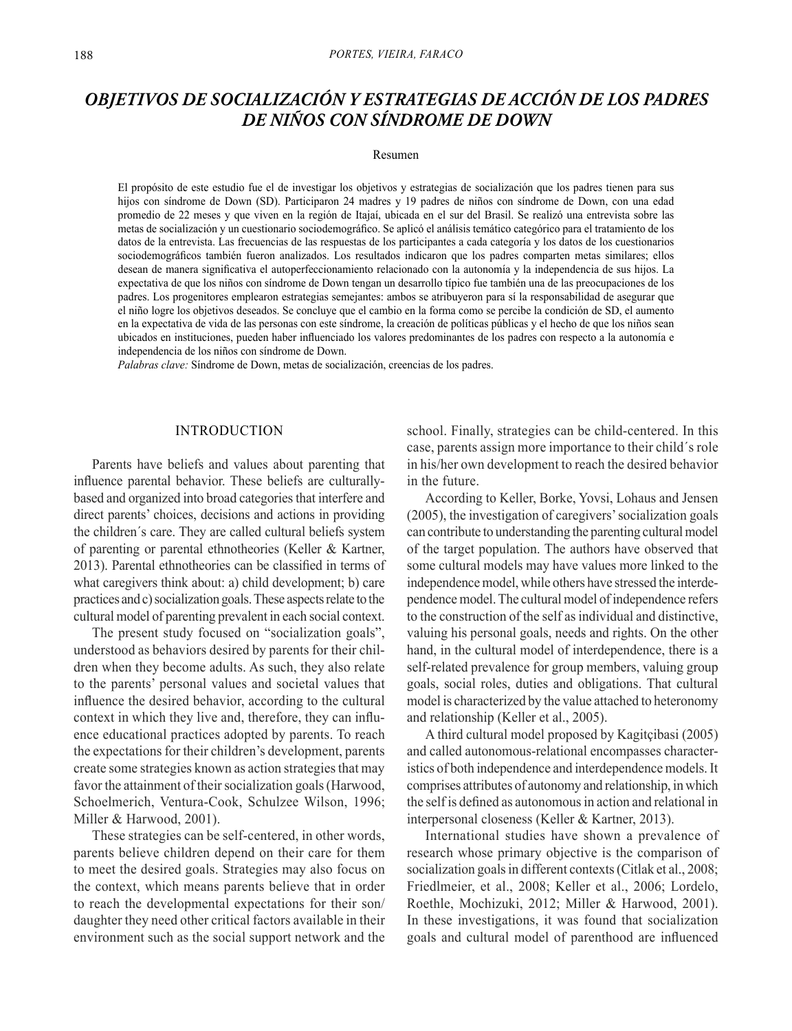# *OBJETIVOS DE SOCIALIZACIÓN Y ESTRATEGIAS DE ACCIÓN DE LOS PADRES DE NIÑOS CON SÍNDROME DE DOWN*

#### Resumen

El propósito de este estudio fue el de investigar los objetivos y estrategias de socialización que los padres tienen para sus hijos con síndrome de Down (SD). Participaron 24 madres y 19 padres de niños con síndrome de Down, con una edad promedio de 22 meses y que viven en la región de Itajaí, ubicada en el sur del Brasil. Se realizó una entrevista sobre las metas de socialización y un cuestionario sociodemográfico. Se aplicó el análisis temático categórico para el tratamiento de los datos de la entrevista. Las frecuencias de las respuestas de los participantes a cada categoría y los datos de los cuestionarios sociodemográficos también fueron analizados. Los resultados indicaron que los padres comparten metas similares; ellos desean de manera significativa el autoperfeccionamiento relacionado con la autonomía y la independencia de sus hijos. La expectativa de que los niños con síndrome de Down tengan un desarrollo típico fue también una de las preocupaciones de los padres. Los progenitores emplearon estrategias semejantes: ambos se atribuyeron para sí la responsabilidad de asegurar que el niño logre los objetivos deseados. Se concluye que el cambio en la forma como se percibe la condición de SD, el aumento en la expectativa de vida de las personas con este síndrome, la creación de políticas públicas y el hecho de que los niños sean ubicados en instituciones, pueden haber influenciado los valores predominantes de los padres con respecto a la autonomía e independencia de los niños con síndrome de Down.

*Palabras clave:* Síndrome de Down, metas de socialización, creencias de los padres.

## INTRODUCTION

Parents have beliefs and values about parenting that influence parental behavior. These beliefs are culturallybased and organized into broad categories that interfere and direct parents' choices, decisions and actions in providing the children´s care. They are called cultural beliefs system of parenting or parental ethnotheories (Keller & Kartner, 2013). Parental ethnotheories can be classified in terms of what caregivers think about: a) child development; b) care practices and c) socialization goals. These aspects relate to the cultural model of parenting prevalent in each social context.

The present study focused on "socialization goals", understood as behaviors desired by parents for their children when they become adults. As such, they also relate to the parents' personal values and societal values that influence the desired behavior, according to the cultural context in which they live and, therefore, they can influence educational practices adopted by parents. To reach the expectations for their children's development, parents create some strategies known as action strategies that may favor the attainment of their socialization goals (Harwood, Schoelmerich, Ventura-Cook, Schulzee Wilson, 1996; Miller & Harwood, 2001).

These strategies can be self-centered, in other words, parents believe children depend on their care for them to meet the desired goals. Strategies may also focus on the context, which means parents believe that in order to reach the developmental expectations for their son/ daughter they need other critical factors available in their environment such as the social support network and the school. Finally, strategies can be child-centered. In this case, parents assign more importance to their child´s role in his/her own development to reach the desired behavior in the future.

According to Keller, Borke, Yovsi, Lohaus and Jensen (2005), the investigation of caregivers' socialization goals can contribute to understanding the parenting cultural model of the target population. The authors have observed that some cultural models may have values more linked to the independence model, while others have stressed the interdependence model. The cultural model of independence refers to the construction of the self as individual and distinctive, valuing his personal goals, needs and rights. On the other hand, in the cultural model of interdependence, there is a self-related prevalence for group members, valuing group goals, social roles, duties and obligations. That cultural model is characterized by the value attached to heteronomy and relationship (Keller et al., 2005).

A third cultural model proposed by Kagitçibasi (2005) and called autonomous-relational encompasses characteristics of both independence and interdependence models. It comprises attributes of autonomy and relationship, in which the self is defined as autonomous in action and relational in interpersonal closeness (Keller & Kartner, 2013).

International studies have shown a prevalence of research whose primary objective is the comparison of socialization goals in different contexts (Citlak et al., 2008; Friedlmeier, et al., 2008; Keller et al., 2006; Lordelo, Roethle, Mochizuki, 2012; Miller & Harwood, 2001). In these investigations, it was found that socialization goals and cultural model of parenthood are influenced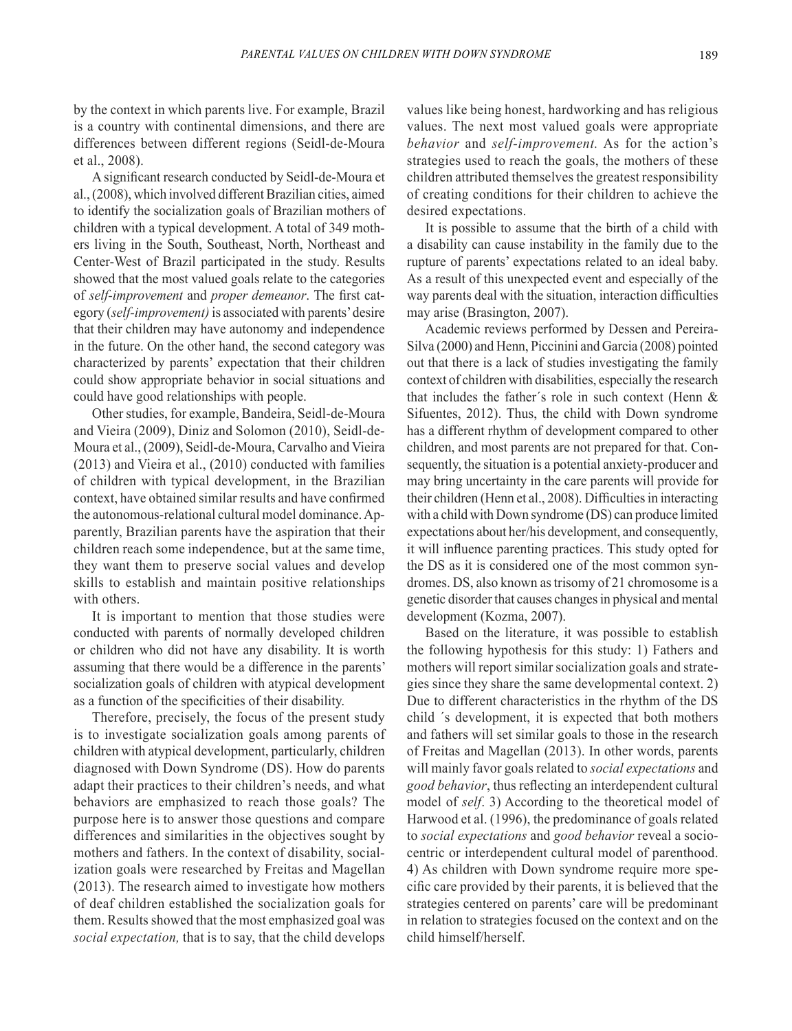by the context in which parents live. For example, Brazil is a country with continental dimensions, and there are differences between different regions (Seidl-de-Moura et al., 2008).

A significant research conducted by Seidl-de-Moura et al., (2008), which involved different Brazilian cities, aimed to identify the socialization goals of Brazilian mothers of children with a typical development. A total of 349 mothers living in the South, Southeast, North, Northeast and Center-West of Brazil participated in the study. Results showed that the most valued goals relate to the categories of *self-improvement* and *proper demeanor*. The first category (*self-improvement)* is associated with parents' desire that their children may have autonomy and independence in the future. On the other hand, the second category was characterized by parents' expectation that their children could show appropriate behavior in social situations and could have good relationships with people.

Other studies, for example, Bandeira, Seidl-de-Moura and Vieira (2009), Diniz and Solomon (2010), Seidl-de-Moura et al., (2009), Seidl-de-Moura, Carvalho and Vieira (2013) and Vieira et al., (2010) conducted with families of children with typical development, in the Brazilian context, have obtained similar results and have confirmed the autonomous-relational cultural model dominance. Apparently, Brazilian parents have the aspiration that their children reach some independence, but at the same time, they want them to preserve social values and develop skills to establish and maintain positive relationships with others.

It is important to mention that those studies were conducted with parents of normally developed children or children who did not have any disability. It is worth assuming that there would be a difference in the parents' socialization goals of children with atypical development as a function of the specificities of their disability.

Therefore, precisely, the focus of the present study is to investigate socialization goals among parents of children with atypical development, particularly, children diagnosed with Down Syndrome (DS). How do parents adapt their practices to their children's needs, and what behaviors are emphasized to reach those goals? The purpose here is to answer those questions and compare differences and similarities in the objectives sought by mothers and fathers. In the context of disability, socialization goals were researched by Freitas and Magellan (2013). The research aimed to investigate how mothers of deaf children established the socialization goals for them. Results showed that the most emphasized goal was *social expectation,* that is to say, that the child develops

values like being honest, hardworking and has religious values. The next most valued goals were appropriate *behavior* and *self-improvement.* As for the action's strategies used to reach the goals, the mothers of these children attributed themselves the greatest responsibility of creating conditions for their children to achieve the desired expectations.

It is possible to assume that the birth of a child with a disability can cause instability in the family due to the rupture of parents' expectations related to an ideal baby. As a result of this unexpected event and especially of the way parents deal with the situation, interaction difficulties may arise (Brasington, 2007).

Academic reviews performed by Dessen and Pereira-Silva (2000) and Henn, Piccinini and Garcia (2008) pointed out that there is a lack of studies investigating the family context of children with disabilities, especially the research that includes the father´s role in such context (Henn & Sifuentes, 2012). Thus, the child with Down syndrome has a different rhythm of development compared to other children, and most parents are not prepared for that. Consequently, the situation is a potential anxiety-producer and may bring uncertainty in the care parents will provide for their children (Henn et al., 2008). Difficulties in interacting with a child with Down syndrome (DS) can produce limited expectations about her/his development, and consequently, it will influence parenting practices. This study opted for the DS as it is considered one of the most common syndromes. DS, also known as trisomy of 21 chromosome is a genetic disorder that causes changes in physical and mental development (Kozma, 2007).

Based on the literature, it was possible to establish the following hypothesis for this study: 1) Fathers and mothers will report similar socialization goals and strategies since they share the same developmental context. 2) Due to different characteristics in the rhythm of the DS child ´s development, it is expected that both mothers and fathers will set similar goals to those in the research of Freitas and Magellan (2013). In other words, parents will mainly favor goals related to *social expectations* and *good behavior*, thus reflecting an interdependent cultural model of *self*. 3) According to the theoretical model of Harwood et al. (1996), the predominance of goals related to *social expectations* and *good behavior* reveal a sociocentric or interdependent cultural model of parenthood. 4) As children with Down syndrome require more specific care provided by their parents, it is believed that the strategies centered on parents' care will be predominant in relation to strategies focused on the context and on the child himself/herself.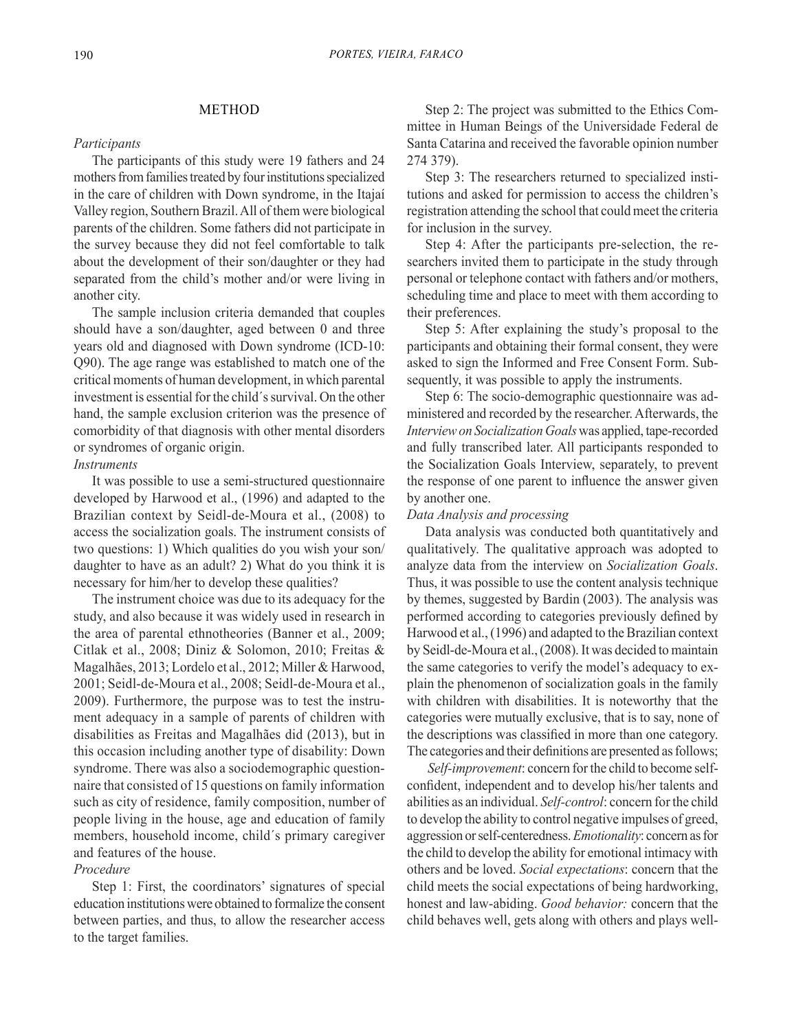## *Participants*

The participants of this study were 19 fathers and 24 mothers from families treated by four institutions specialized in the care of children with Down syndrome, in the Itajaí Valley region, Southern Brazil. All of them were biological parents of the children. Some fathers did not participate in the survey because they did not feel comfortable to talk about the development of their son/daughter or they had separated from the child's mother and/or were living in another city.

The sample inclusion criteria demanded that couples should have a son/daughter, aged between 0 and three years old and diagnosed with Down syndrome (ICD-10: Q90). The age range was established to match one of the critical moments of human development, in which parental investment is essential for the child´s survival. On the other hand, the sample exclusion criterion was the presence of comorbidity of that diagnosis with other mental disorders or syndromes of organic origin.

## *Instruments*

It was possible to use a semi-structured questionnaire developed by Harwood et al., (1996) and adapted to the Brazilian context by Seidl-de-Moura et al., (2008) to access the socialization goals. The instrument consists of two questions: 1) Which qualities do you wish your son/ daughter to have as an adult? 2) What do you think it is necessary for him/her to develop these qualities?

The instrument choice was due to its adequacy for the study, and also because it was widely used in research in the area of parental ethnotheories (Banner et al., 2009; Citlak et al., 2008; Diniz & Solomon, 2010; Freitas & Magalhães, 2013; Lordelo et al., 2012; Miller & Harwood, 2001; Seidl-de-Moura et al., 2008; Seidl-de-Moura et al., 2009). Furthermore, the purpose was to test the instrument adequacy in a sample of parents of children with disabilities as Freitas and Magalhães did (2013), but in this occasion including another type of disability: Down syndrome. There was also a sociodemographic questionnaire that consisted of 15 questions on family information such as city of residence, family composition, number of people living in the house, age and education of family members, household income, child´s primary caregiver and features of the house.

## *Procedure*

Step 1: First, the coordinators' signatures of special education institutions were obtained to formalize the consent between parties, and thus, to allow the researcher access to the target families.

Step 2: The project was submitted to the Ethics Committee in Human Beings of the Universidade Federal de Santa Catarina and received the favorable opinion number 274 379).

Step 3: The researchers returned to specialized institutions and asked for permission to access the children's registration attending the school that could meet the criteria for inclusion in the survey.

Step 4: After the participants pre-selection, the researchers invited them to participate in the study through personal or telephone contact with fathers and/or mothers, scheduling time and place to meet with them according to their preferences.

Step 5: After explaining the study's proposal to the participants and obtaining their formal consent, they were asked to sign the Informed and Free Consent Form. Subsequently, it was possible to apply the instruments.

Step 6: The socio-demographic questionnaire was administered and recorded by the researcher. Afterwards, the *Interview on Socialization Goals* was applied, tape-recorded and fully transcribed later. All participants responded to the Socialization Goals Interview, separately, to prevent the response of one parent to influence the answer given by another one.

### *Data Analysis and processing*

Data analysis was conducted both quantitatively and qualitatively. The qualitative approach was adopted to analyze data from the interview on *Socialization Goals*. Thus, it was possible to use the content analysis technique by themes, suggested by Bardin (2003). The analysis was performed according to categories previously defined by Harwood et al., (1996) and adapted to the Brazilian context by Seidl-de-Moura et al., (2008). It was decided to maintain the same categories to verify the model's adequacy to explain the phenomenon of socialization goals in the family with children with disabilities. It is noteworthy that the categories were mutually exclusive, that is to say, none of the descriptions was classified in more than one category. The categories and their definitions are presented as follows;

*Self-improvement*: concern for the child to become selfconfident, independent and to develop his/her talents and abilities as an individual. *Self-control*: concern for the child to develop the ability to control negative impulses of greed, aggression or self-centeredness. *Emotionality*: concern as for the child to develop the ability for emotional intimacy with others and be loved. *Social expectations*: concern that the child meets the social expectations of being hardworking, honest and law-abiding. *Good behavior:* concern that the child behaves well, gets along with others and plays well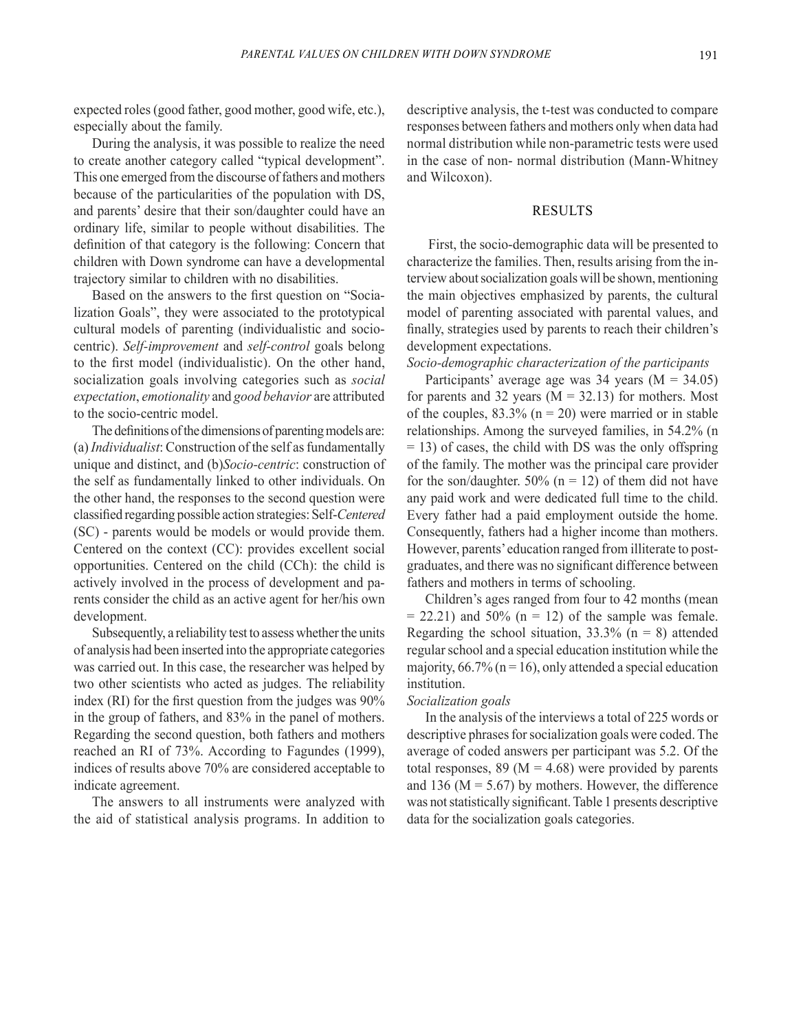expected roles (good father, good mother, good wife, etc.), especially about the family.

During the analysis, it was possible to realize the need to create another category called "typical development". This one emerged from the discourse of fathers and mothers because of the particularities of the population with DS, and parents' desire that their son/daughter could have an ordinary life, similar to people without disabilities. The definition of that category is the following: Concern that children with Down syndrome can have a developmental trajectory similar to children with no disabilities.

Based on the answers to the first question on "Socialization Goals", they were associated to the prototypical cultural models of parenting (individualistic and sociocentric). *Self-improvement* and *self-control* goals belong to the first model (individualistic). On the other hand, socialization goals involving categories such as *social expectation*, *emotionality* and *good behavior* are attributed to the socio-centric model.

The definitions of the dimensions of parenting models are: (a) *Individualist*: Construction of the self as fundamentally unique and distinct, and (b)*Socio-centric*: construction of the self as fundamentally linked to other individuals. On the other hand, the responses to the second question were classified regarding possible action strategies: Self-*Centered*  (SC) - parents would be models or would provide them. Centered on the context (CC): provides excellent social opportunities. Centered on the child (CCh): the child is actively involved in the process of development and parents consider the child as an active agent for her/his own development.

Subsequently, a reliability test to assess whether the units of analysis had been inserted into the appropriate categories was carried out. In this case, the researcher was helped by two other scientists who acted as judges. The reliability index (RI) for the first question from the judges was 90% in the group of fathers, and 83% in the panel of mothers. Regarding the second question, both fathers and mothers reached an RI of 73%. According to Fagundes (1999), indices of results above 70% are considered acceptable to indicate agreement.

The answers to all instruments were analyzed with the aid of statistical analysis programs. In addition to descriptive analysis, the t-test was conducted to compare responses between fathers and mothers only when data had normal distribution while non-parametric tests were used in the case of non- normal distribution (Mann-Whitney and Wilcoxon).

## RESULTS

 First, the socio-demographic data will be presented to characterize the families. Then, results arising from the interview about socialization goals will be shown, mentioning the main objectives emphasized by parents, the cultural model of parenting associated with parental values, and finally, strategies used by parents to reach their children's development expectations.

*Socio-demographic characterization of the participants*

Participants' average age was  $34$  years (M =  $34.05$ ) for parents and 32 years  $(M = 32.13)$  for mothers. Most of the couples,  $83.3\%$  (n = 20) were married or in stable relationships. Among the surveyed families, in 54.2% (n  $=$  13) of cases, the child with DS was the only offspring of the family. The mother was the principal care provider for the son/daughter. 50% ( $n = 12$ ) of them did not have any paid work and were dedicated full time to the child. Every father had a paid employment outside the home. Consequently, fathers had a higher income than mothers. However, parents' education ranged from illiterate to postgraduates, and there was no significant difference between fathers and mothers in terms of schooling.

Children's ages ranged from four to 42 months (mean  $= 22.21$ ) and 50% (n  $= 12$ ) of the sample was female. Regarding the school situation,  $33.3\%$  (n = 8) attended regular school and a special education institution while the majority,  $66.7\%$  (n = 16), only attended a special education institution.

## *Socialization goals*

In the analysis of the interviews a total of 225 words or descriptive phrases for socialization goals were coded. The average of coded answers per participant was 5.2. Of the total responses, 89 ( $M = 4.68$ ) were provided by parents and 136 ( $M = 5.67$ ) by mothers. However, the difference was not statistically significant. Table 1 presents descriptive data for the socialization goals categories.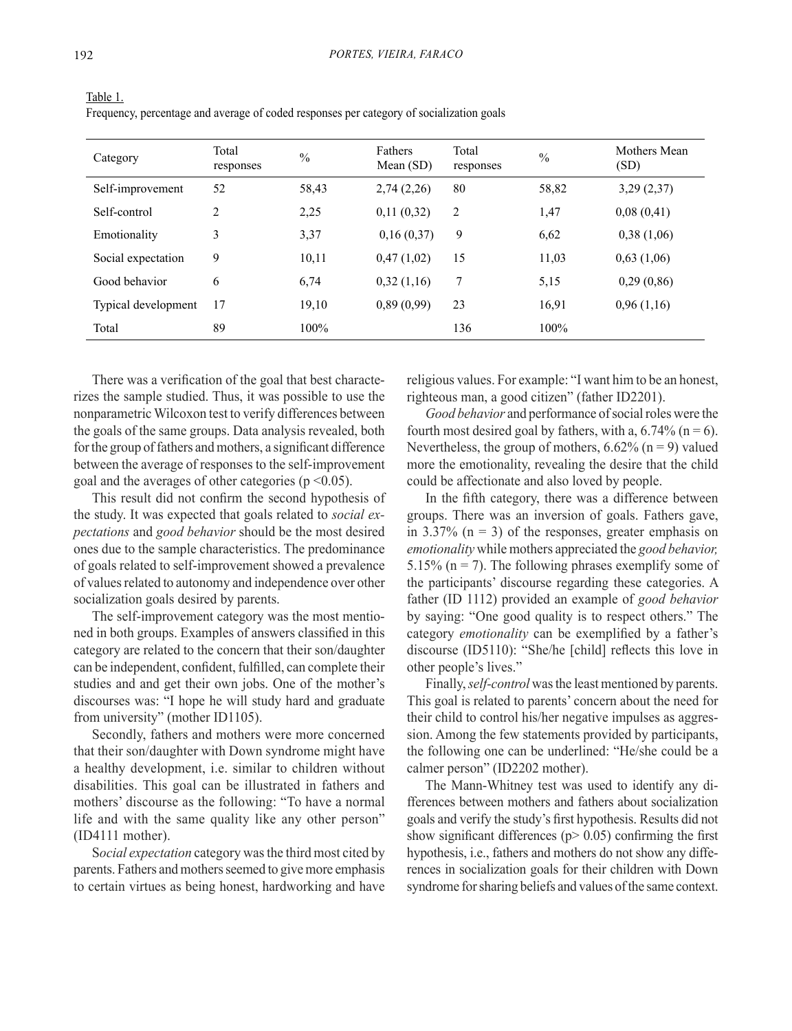| Category            | Total<br>responses | $\frac{0}{0}$ | <b>Fathers</b><br>Mean $(SD)$ | Total<br>responses | $\frac{0}{0}$ | Mothers Mean<br>(SD) |
|---------------------|--------------------|---------------|-------------------------------|--------------------|---------------|----------------------|
| Self-improvement    | 52                 | 58,43         | 2,74(2,26)                    | 80                 | 58,82         | 3,29(2,37)           |
| Self-control        | 2                  | 2,25          | 0,11(0,32)                    | $\overline{2}$     | 1,47          | 0,08(0,41)           |
| Emotionality        | 3                  | 3,37          | 0,16(0,37)                    | 9                  | 6,62          | 0,38(1,06)           |
| Social expectation  | 9                  | 10,11         | 0,47(1,02)                    | 15                 | 11,03         | 0,63(1,06)           |
| Good behavior       | 6                  | 6,74          | 0,32(1,16)                    | 7                  | 5,15          | 0,29(0,86)           |
| Typical development | 17                 | 19,10         | 0,89(0,99)                    | 23                 | 16,91         | 0,96(1,16)           |
| Total               | 89                 | $100\%$       |                               | 136                | 100%          |                      |

Table 1. Frequency, percentage and average of coded responses per category of socialization goals

There was a verification of the goal that best characterizes the sample studied. Thus, it was possible to use the nonparametric Wilcoxon test to verify differences between the goals of the same groups. Data analysis revealed, both for the group of fathers and mothers, a significant difference between the average of responses to the self-improvement goal and the averages of other categories ( $p \le 0.05$ ).

This result did not confirm the second hypothesis of the study. It was expected that goals related to *social expectations* and *good behavior* should be the most desired ones due to the sample characteristics. The predominance of goals related to self-improvement showed a prevalence of values related to autonomy and independence over other socialization goals desired by parents.

The self-improvement category was the most mentioned in both groups. Examples of answers classified in this category are related to the concern that their son/daughter can be independent, confident, fulfilled, can complete their studies and and get their own jobs. One of the mother's discourses was: "I hope he will study hard and graduate from university" (mother ID1105).

Secondly, fathers and mothers were more concerned that their son/daughter with Down syndrome might have a healthy development, i.e. similar to children without disabilities. This goal can be illustrated in fathers and mothers' discourse as the following: "To have a normal life and with the same quality like any other person" (ID4111 mother).

S*ocial expectation* category was the third most cited by parents. Fathers and mothers seemed to give more emphasis to certain virtues as being honest, hardworking and have religious values. For example: "I want him to be an honest, righteous man, a good citizen" (father ID2201).

*Good behavior* and performance of social roles were the fourth most desired goal by fathers, with a,  $6.74\%$  (n = 6). Nevertheless, the group of mothers,  $6.62\%$  (n = 9) valued more the emotionality, revealing the desire that the child could be affectionate and also loved by people.

In the fifth category, there was a difference between groups. There was an inversion of goals. Fathers gave, in 3.37%  $(n = 3)$  of the responses, greater emphasis on *emotionality* while mothers appreciated the *good behavior,* 5.15% ( $n = 7$ ). The following phrases exemplify some of the participants' discourse regarding these categories. A father (ID 1112) provided an example of *good behavior* by saying: "One good quality is to respect others." The category *emotionality* can be exemplified by a father's discourse (ID5110): "She/he [child] reflects this love in other people's lives."

Finally, *self-control* was the least mentioned by parents. This goal is related to parents' concern about the need for their child to control his/her negative impulses as aggression. Among the few statements provided by participants, the following one can be underlined: "He/she could be a calmer person" (ID2202 mother).

The Mann-Whitney test was used to identify any differences between mothers and fathers about socialization goals and verify the study's first hypothesis. Results did not show significant differences ( $p$  > 0.05) confirming the first hypothesis, i.e., fathers and mothers do not show any differences in socialization goals for their children with Down syndrome for sharing beliefs and values of the same context.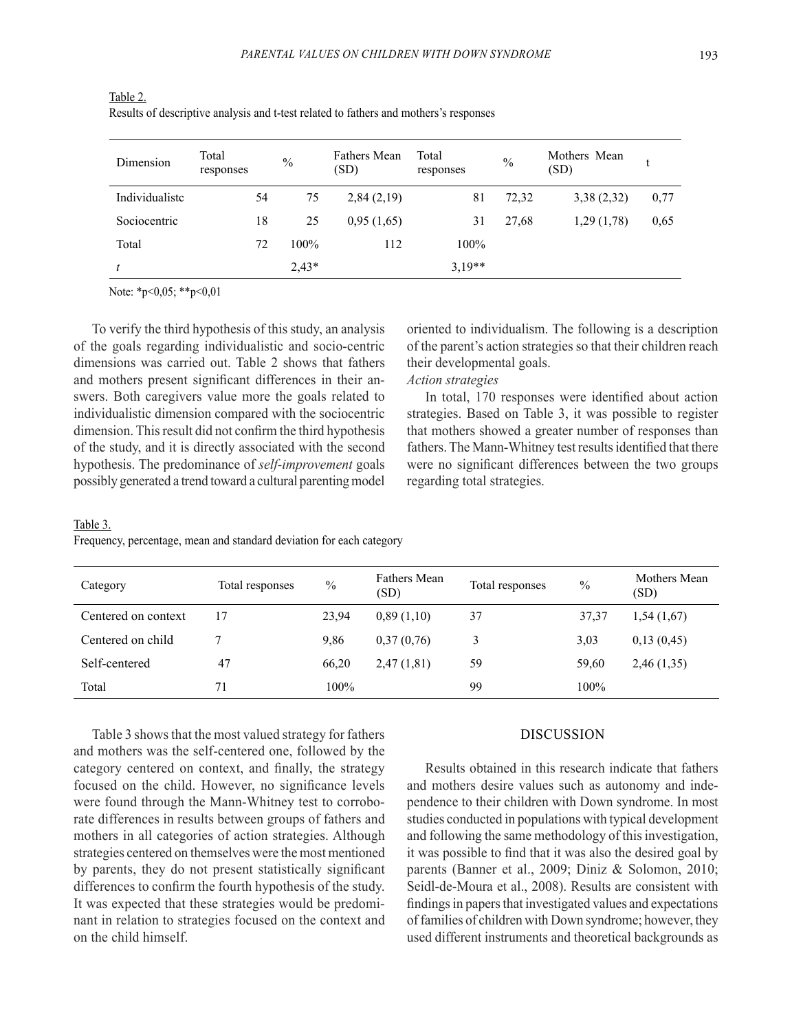| Dimension      | Total<br>responses | $\%$    | <b>Fathers Mean</b><br>(SD) | Total<br>responses | $\frac{0}{0}$ | Mothers Mean<br>(SD) |      |
|----------------|--------------------|---------|-----------------------------|--------------------|---------------|----------------------|------|
| Individualiste | 54                 | 75      | 2,84(2,19)                  | 81                 | 72,32         | 3,38(2,32)           | 0,77 |
| Sociocentric   | 18                 | 25      | 0,95(1,65)                  | 31                 | 27,68         | 1,29(1,78)           | 0,65 |
| Total          | 72                 | 100%    | 112                         | 100%               |               |                      |      |
|                |                    | $2.43*$ |                             | $3,19**$           |               |                      |      |

Table 2. Results of descriptive analysis and t-test related to fathers and mothers's responses

Note: \*p<0,05; \*\*p<0,01

To verify the third hypothesis of this study, an analysis of the goals regarding individualistic and socio-centric dimensions was carried out. Table 2 shows that fathers and mothers present significant differences in their answers. Both caregivers value more the goals related to individualistic dimension compared with the sociocentric dimension. This result did not confirm the third hypothesis of the study, and it is directly associated with the second hypothesis. The predominance of *self-improvement* goals possibly generated a trend toward a cultural parenting model oriented to individualism. The following is a description of the parent's action strategies so that their children reach their developmental goals.

# *Action strategies*

In total, 170 responses were identified about action strategies. Based on Table 3, it was possible to register that mothers showed a greater number of responses than fathers. The Mann-Whitney test results identified that there were no significant differences between the two groups regarding total strategies.

### Table 3.

Frequency, percentage, mean and standard deviation for each category

| Category            | Total responses | $\%$    | <b>Fathers Mean</b><br>(SD) | Total responses | $\frac{0}{0}$ | Mothers Mean<br>(SD) |
|---------------------|-----------------|---------|-----------------------------|-----------------|---------------|----------------------|
| Centered on context | 17              | 23,94   | 0,89(1,10)                  | 37              | 37,37         | 1,54(1,67)           |
| Centered on child   |                 | 9.86    | 0,37(0,76)                  | 3               | 3,03          | 0,13(0,45)           |
| Self-centered       | 47              | 66,20   | 2,47(1,81)                  | 59              | 59,60         | 2,46(1,35)           |
| Total               | 71              | $100\%$ |                             | 99              | 100%          |                      |

Table 3 shows that the most valued strategy for fathers and mothers was the self-centered one, followed by the category centered on context, and finally, the strategy focused on the child. However, no significance levels were found through the Mann-Whitney test to corroborate differences in results between groups of fathers and mothers in all categories of action strategies. Although strategies centered on themselves were the most mentioned by parents, they do not present statistically significant differences to confirm the fourth hypothesis of the study. It was expected that these strategies would be predominant in relation to strategies focused on the context and on the child himself.

## DISCUSSION

Results obtained in this research indicate that fathers and mothers desire values such as autonomy and independence to their children with Down syndrome. In most studies conducted in populations with typical development and following the same methodology of this investigation, it was possible to find that it was also the desired goal by parents (Banner et al., 2009; Diniz & Solomon, 2010; Seidl-de-Moura et al., 2008). Results are consistent with findings in papers that investigated values and expectations of families of children with Down syndrome; however, they used different instruments and theoretical backgrounds as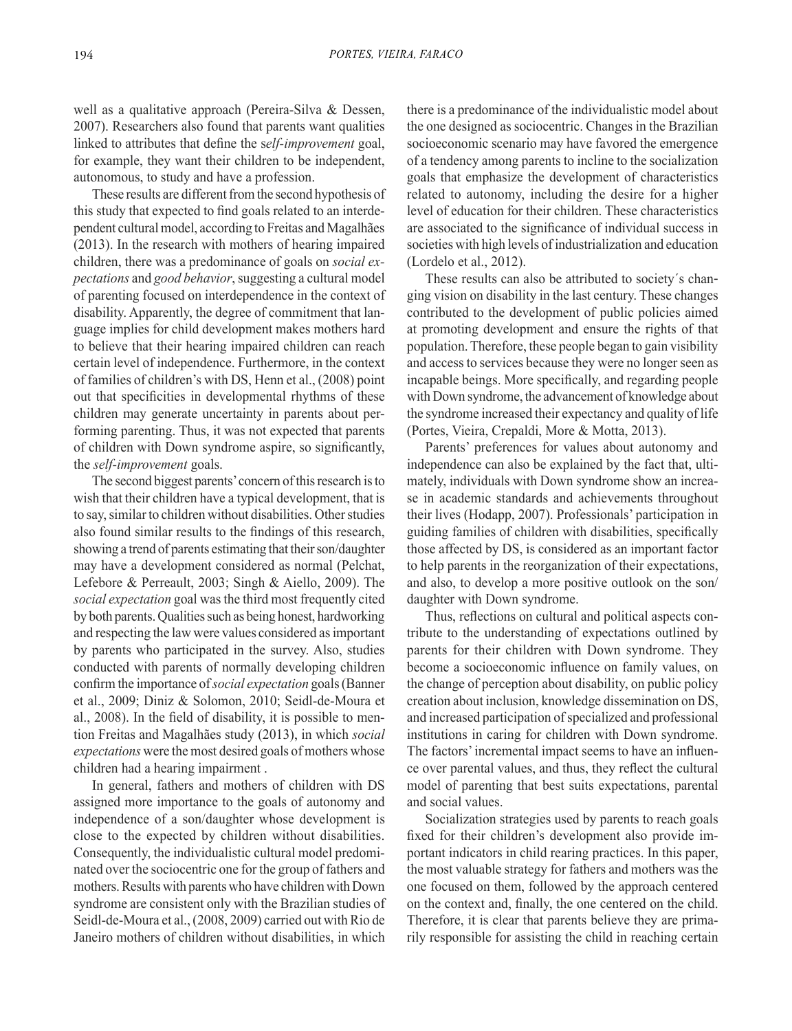well as a qualitative approach (Pereira-Silva & Dessen, 2007). Researchers also found that parents want qualities linked to attributes that define the s*elf-improvement* goal, for example, they want their children to be independent, autonomous, to study and have a profession.

These results are different from the second hypothesis of this study that expected to find goals related to an interdependent cultural model, according to Freitas and Magalhães (2013). In the research with mothers of hearing impaired children, there was a predominance of goals on *social expectations* and *good behavior*, suggesting a cultural model of parenting focused on interdependence in the context of disability. Apparently, the degree of commitment that language implies for child development makes mothers hard to believe that their hearing impaired children can reach certain level of independence. Furthermore, in the context of families of children's with DS, Henn et al., (2008) point out that specificities in developmental rhythms of these children may generate uncertainty in parents about performing parenting. Thus, it was not expected that parents of children with Down syndrome aspire, so significantly, the *self-improvement* goals.

The second biggest parents' concern of this research is to wish that their children have a typical development, that is to say, similar to children without disabilities. Other studies also found similar results to the findings of this research, showing a trend of parents estimating that their son/daughter may have a development considered as normal (Pelchat, Lefebore & Perreault, 2003; Singh & Aiello, 2009). The *social expectation* goal was the third most frequently cited by both parents. Qualities such as being honest, hardworking and respecting the law were values considered as important by parents who participated in the survey. Also, studies conducted with parents of normally developing children confirm the importance of *social expectation* goals (Banner et al., 2009; Diniz & Solomon, 2010; Seidl-de-Moura et al., 2008). In the field of disability, it is possible to mention Freitas and Magalhães study (2013), in which *social expectations* were the most desired goals of mothers whose children had a hearing impairment .

In general, fathers and mothers of children with DS assigned more importance to the goals of autonomy and independence of a son/daughter whose development is close to the expected by children without disabilities. Consequently, the individualistic cultural model predominated over the sociocentric one for the group of fathers and mothers. Results with parents who have children with Down syndrome are consistent only with the Brazilian studies of Seidl-de-Moura et al., (2008, 2009) carried out with Rio de Janeiro mothers of children without disabilities, in which there is a predominance of the individualistic model about the one designed as sociocentric. Changes in the Brazilian socioeconomic scenario may have favored the emergence of a tendency among parents to incline to the socialization goals that emphasize the development of characteristics related to autonomy, including the desire for a higher level of education for their children. These characteristics are associated to the significance of individual success in societies with high levels of industrialization and education (Lordelo et al., 2012).

These results can also be attributed to society´s changing vision on disability in the last century. These changes contributed to the development of public policies aimed at promoting development and ensure the rights of that population. Therefore, these people began to gain visibility and access to services because they were no longer seen as incapable beings. More specifically, and regarding people with Down syndrome, the advancement of knowledge about the syndrome increased their expectancy and quality of life (Portes, Vieira, Crepaldi, More & Motta, 2013).

Parents' preferences for values about autonomy and independence can also be explained by the fact that, ultimately, individuals with Down syndrome show an increase in academic standards and achievements throughout their lives (Hodapp, 2007). Professionals' participation in guiding families of children with disabilities, specifically those affected by DS, is considered as an important factor to help parents in the reorganization of their expectations, and also, to develop a more positive outlook on the son/ daughter with Down syndrome.

Thus, reflections on cultural and political aspects contribute to the understanding of expectations outlined by parents for their children with Down syndrome. They become a socioeconomic influence on family values, on the change of perception about disability, on public policy creation about inclusion, knowledge dissemination on DS, and increased participation of specialized and professional institutions in caring for children with Down syndrome. The factors' incremental impact seems to have an influence over parental values, and thus, they reflect the cultural model of parenting that best suits expectations, parental and social values.

Socialization strategies used by parents to reach goals fixed for their children's development also provide important indicators in child rearing practices. In this paper, the most valuable strategy for fathers and mothers was the one focused on them, followed by the approach centered on the context and, finally, the one centered on the child. Therefore, it is clear that parents believe they are primarily responsible for assisting the child in reaching certain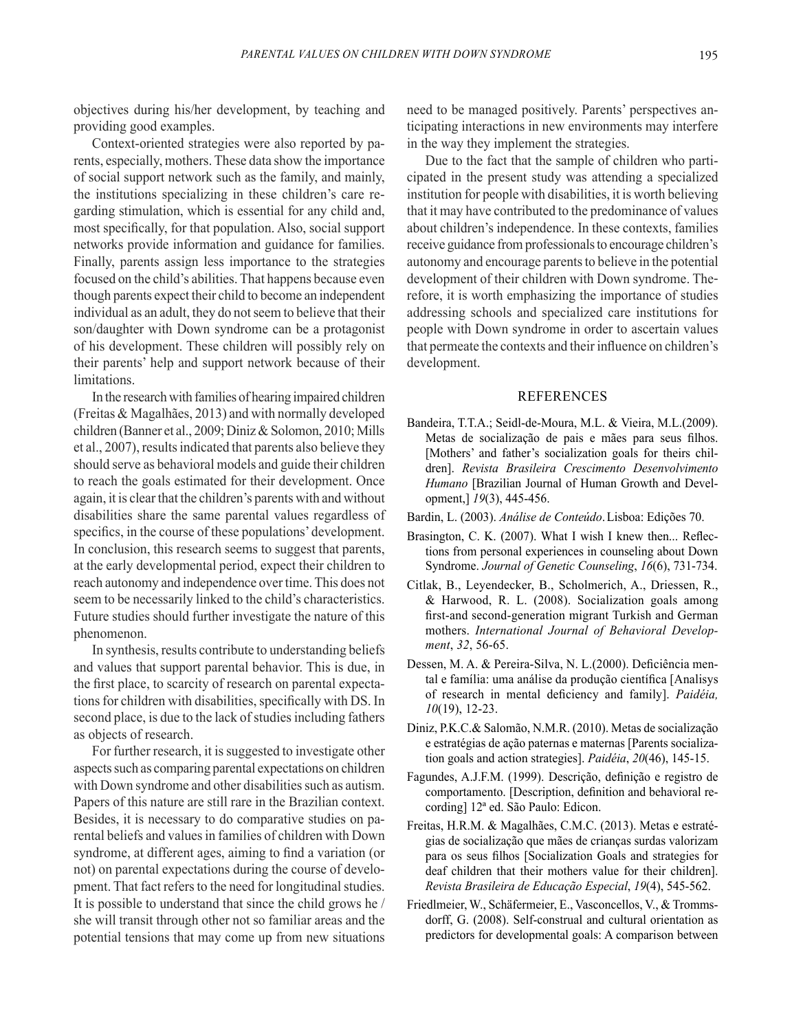objectives during his/her development, by teaching and providing good examples.

Context-oriented strategies were also reported by parents, especially, mothers. These data show the importance of social support network such as the family, and mainly, the institutions specializing in these children's care regarding stimulation, which is essential for any child and, most specifically, for that population. Also, social support networks provide information and guidance for families. Finally, parents assign less importance to the strategies focused on the child's abilities. That happens because even though parents expect their child to become an independent individual as an adult, they do not seem to believe that their son/daughter with Down syndrome can be a protagonist of his development. These children will possibly rely on their parents' help and support network because of their limitations.

In the research with families of hearing impaired children (Freitas & Magalhães, 2013) and with normally developed children (Banner et al., 2009; Diniz & Solomon, 2010; Mills et al., 2007), results indicated that parents also believe they should serve as behavioral models and guide their children to reach the goals estimated for their development. Once again, it is clear that the children's parents with and without disabilities share the same parental values regardless of specifics, in the course of these populations' development. In conclusion, this research seems to suggest that parents, at the early developmental period, expect their children to reach autonomy and independence over time. This does not seem to be necessarily linked to the child's characteristics. Future studies should further investigate the nature of this phenomenon.

In synthesis, results contribute to understanding beliefs and values that support parental behavior. This is due, in the first place, to scarcity of research on parental expectations for children with disabilities, specifically with DS. In second place, is due to the lack of studies including fathers as objects of research.

For further research, it is suggested to investigate other aspects such as comparing parental expectations on children with Down syndrome and other disabilities such as autism. Papers of this nature are still rare in the Brazilian context. Besides, it is necessary to do comparative studies on parental beliefs and values in families of children with Down syndrome, at different ages, aiming to find a variation (or not) on parental expectations during the course of development. That fact refers to the need for longitudinal studies. It is possible to understand that since the child grows he / she will transit through other not so familiar areas and the potential tensions that may come up from new situations need to be managed positively. Parents' perspectives anticipating interactions in new environments may interfere in the way they implement the strategies.

Due to the fact that the sample of children who participated in the present study was attending a specialized institution for people with disabilities, it is worth believing that it may have contributed to the predominance of values about children's independence. In these contexts, families receive guidance from professionals to encourage children's autonomy and encourage parents to believe in the potential development of their children with Down syndrome. Therefore, it is worth emphasizing the importance of studies addressing schools and specialized care institutions for people with Down syndrome in order to ascertain values that permeate the contexts and their influence on children's development.

## **REFERENCES**

- Bandeira, T.T.A.; Seidl-de-Moura, M.L. & Vieira, M.L.(2009). Metas de socialização de pais e mães para seus filhos. [Mothers' and father's socialization goals for theirs children]. *Revista Brasileira Crescimento Desenvolvimento Humano* [Brazilian Journal of Human Growth and Development,] *19*(3), 445-456.
- Bardin, L. (2003). *Análise de Conteúdo*. Lisboa: Edições 70.
- Brasington, C. K. (2007). What I wish I knew then... Reflections from personal experiences in counseling about Down Syndrome. *Journal of Genetic Counseling*, *16*(6), 731-734.
- Citlak, B., Leyendecker, B., Scholmerich, A., Driessen, R., & Harwood, R. L. (2008). Socialization goals among first-and second-generation migrant Turkish and German mothers. *International Journal of Behavioral Development*, *32*, 56-65.
- Dessen, M. A. & Pereira-Silva, N. L.(2000). Deficiência mental e família: uma análise da produção científica [Analisys of research in mental deficiency and family]. *Paidéia, 10*(19), 12-23.
- Diniz, P.K.C.& Salomão, N.M.R. (2010). Metas de socialização e estratégias de ação paternas e maternas [Parents socialization goals and action strategies]. *Paidéia*, *20*(46), 145-15.
- Fagundes, A.J.F.M. (1999). Descrição, definição e registro de comportamento. [Description, definition and behavioral recording] 12ª ed. São Paulo: Edicon.
- Freitas, H.R.M. & Magalhães, C.M.C. (2013). Metas e estratégias de socialização que mães de crianças surdas valorizam para os seus filhos [Socialization Goals and strategies for deaf children that their mothers value for their children]. *Revista Brasileira de Educação Especial*, *19*(4), 545-562.
- Friedlmeier, W., Schäfermeier, E., Vasconcellos, V., & Trommsdorff, G. (2008). Self-construal and cultural orientation as predictors for developmental goals: A comparison between